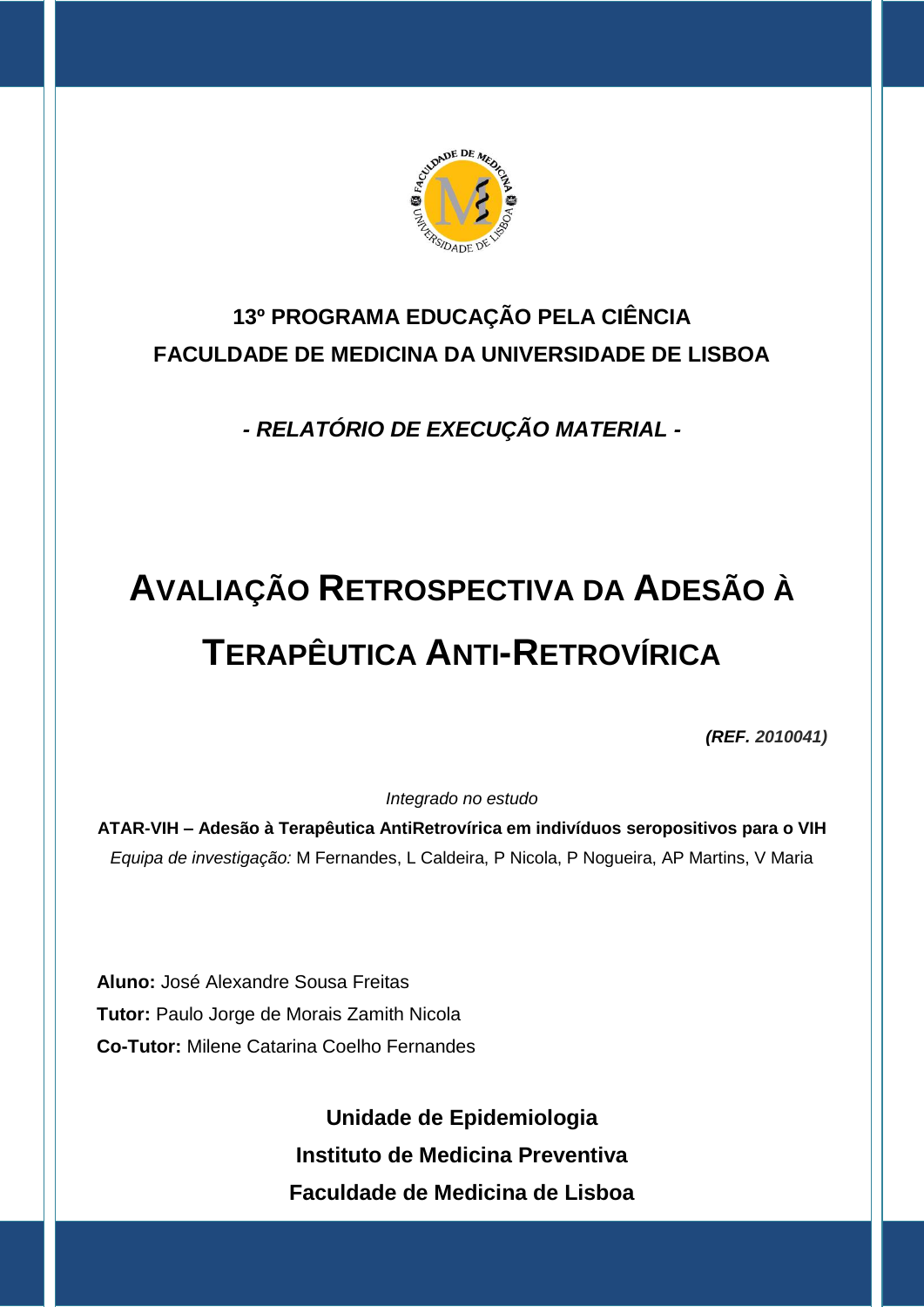

# **13º PROGRAMA EDUCAÇÃO PELA CIÊNCIA FACULDADE DE MEDICINA DA UNIVERSIDADE DE LISBOA**

*- RELATÓRIO DE EXECUÇÃO MATERIAL -*

# **AVALIAÇÃO RETROSPECTIVA DA ADESÃO À TERAPÊUTICA ANTI-RETROVÍRICA**

*(REF. 2010041)*

*Integrado no estudo*

**ATAR-VIH – Adesão à Terapêutica AntiRetrovírica em indivíduos seropositivos para o VIH** *Equipa de investigação:* M Fernandes, L Caldeira, P Nicola, P Nogueira, AP Martins, V Maria

**Aluno:** José Alexandre Sousa Freitas **Tutor:** Paulo Jorge de Morais Zamith Nicola **Co-Tutor:** Milene Catarina Coelho Fernandes

> **Unidade de Epidemiologia Instituto de Medicina Preventiva Faculdade de Medicina de Lisboa**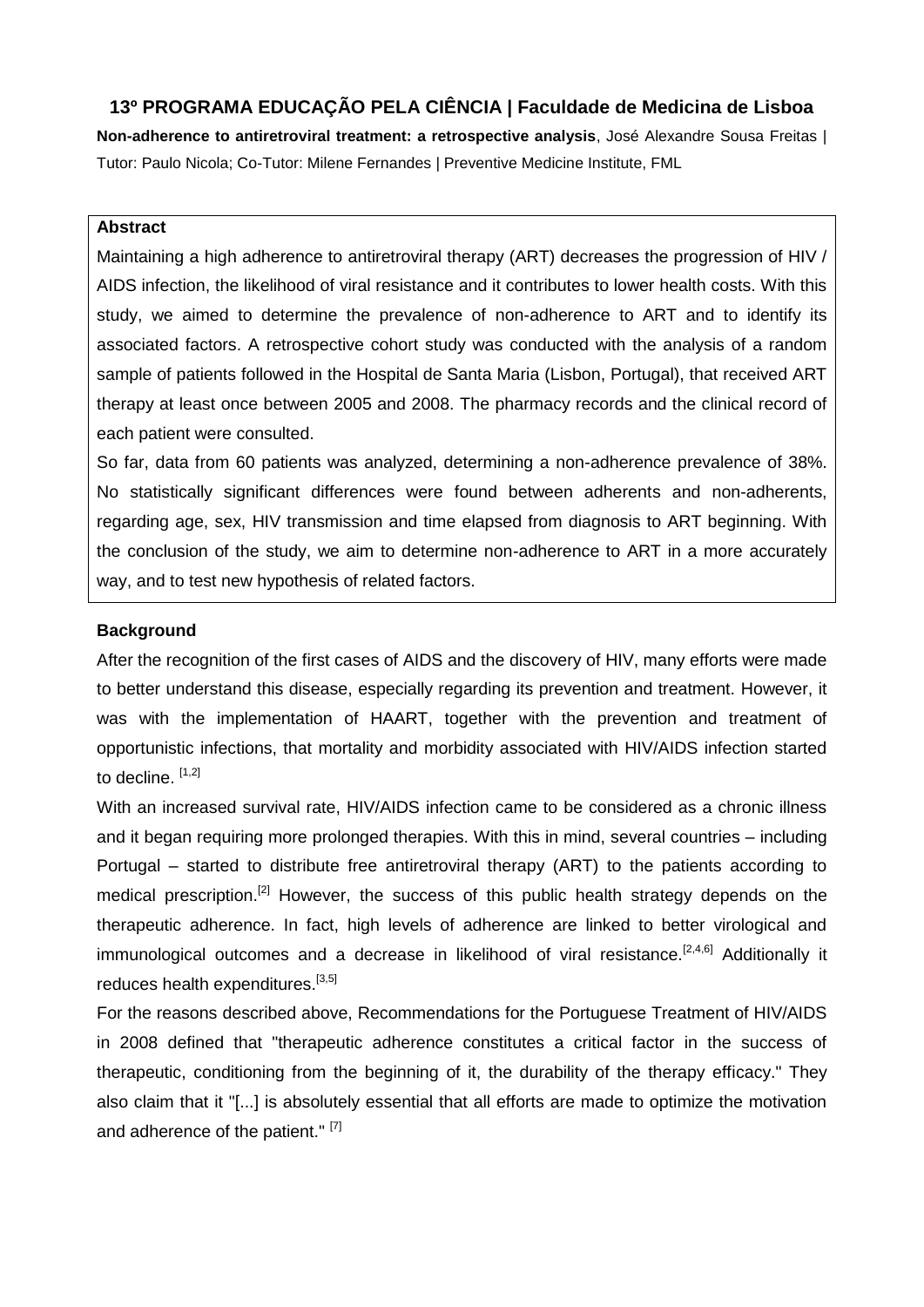### **13º PROGRAMA EDUCAÇÃO PELA CIÊNCIA | Faculdade de Medicina de Lisboa**

**Non-adherence to antiretroviral treatment: a retrospective analysis**, José Alexandre Sousa Freitas | Tutor: Paulo Nicola; Co-Tutor: Milene Fernandes | Preventive Medicine Institute, FML

#### **Abstract**

Maintaining a high adherence to antiretroviral therapy (ART) decreases the progression of HIV / AIDS infection, the likelihood of viral resistance and it contributes to lower health costs. With this study, we aimed to determine the prevalence of non-adherence to ART and to identify its associated factors. A retrospective cohort study was conducted with the analysis of a random sample of patients followed in the Hospital de Santa Maria (Lisbon, Portugal), that received ART therapy at least once between 2005 and 2008. The pharmacy records and the clinical record of each patient were consulted.

So far, data from 60 patients was analyzed, determining a non-adherence prevalence of 38%. No statistically significant differences were found between adherents and non-adherents, regarding age, sex, HIV transmission and time elapsed from diagnosis to ART beginning. With the conclusion of the study, we aim to determine non-adherence to ART in a more accurately way, and to test new hypothesis of related factors.

#### **Background**

After the recognition of the first cases of AIDS and the discovery of HIV, many efforts were made to better understand this disease, especially regarding its prevention and treatment. However, it was with the implementation of HAART, together with the prevention and treatment of opportunistic infections, that mortality and morbidity associated with HIV/AIDS infection started to decline.  $[1,2]$ 

With an increased survival rate, HIV/AIDS infection came to be considered as a chronic illness and it began requiring more prolonged therapies. With this in mind, several countries – including Portugal – started to distribute free antiretroviral therapy (ART) to the patients according to medical prescription.<sup>[2]</sup> However, the success of this public health strategy depends on the therapeutic adherence. In fact, high levels of adherence are linked to better virological and immunological outcomes and a decrease in likelihood of viral resistance.<sup>[2,4,6]</sup> Additionally it reduces health expenditures.<sup>[3,5]</sup>

For the reasons described above, Recommendations for the Portuguese Treatment of HIV/AIDS in 2008 defined that "therapeutic adherence constitutes a critical factor in the success of therapeutic, conditioning from the beginning of it, the durability of the therapy efficacy." They also claim that it "[...] is absolutely essential that all efforts are made to optimize the motivation and adherence of the patient." [7]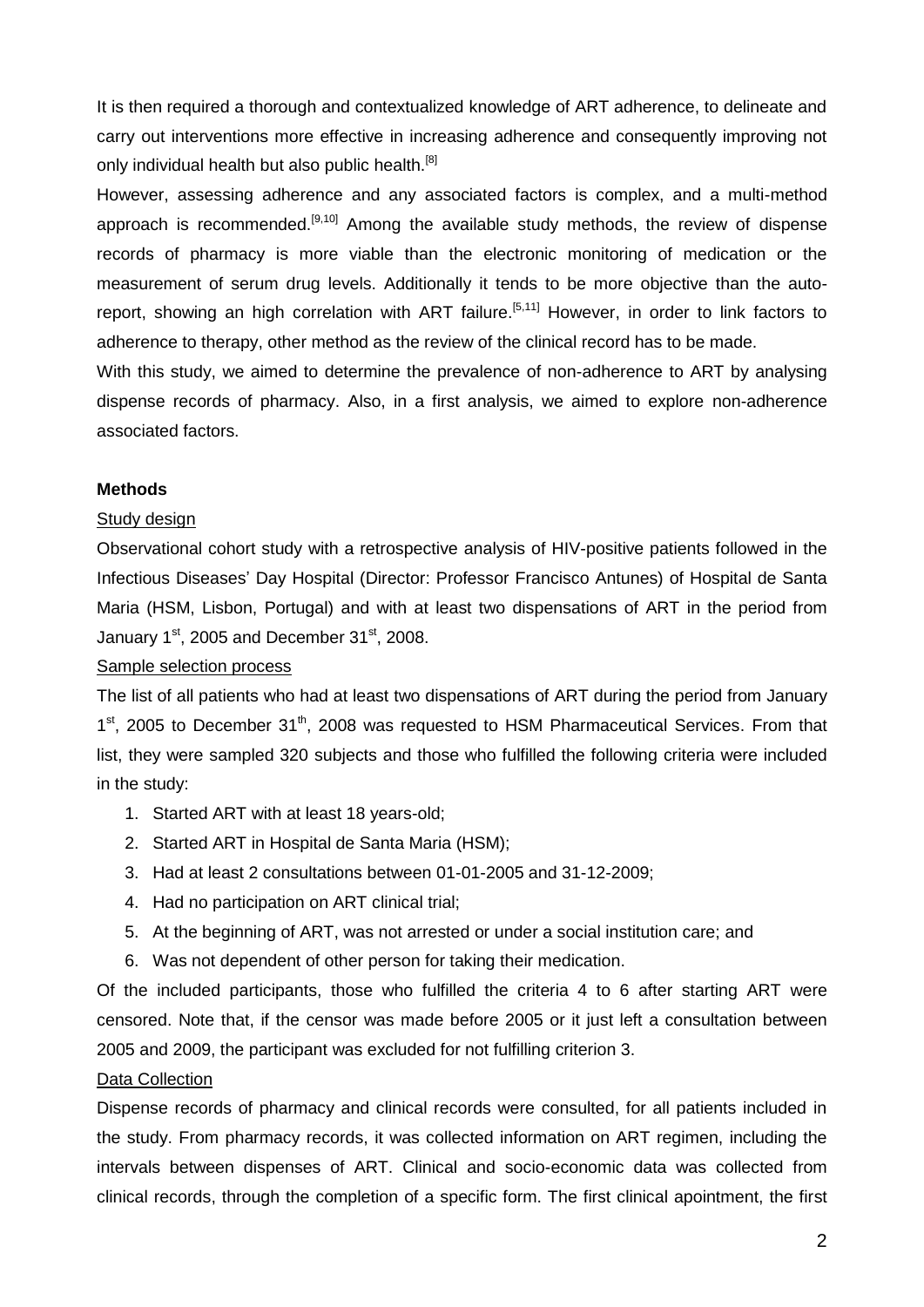It is then required a thorough and contextualized knowledge of ART adherence, to delineate and carry out interventions more effective in increasing adherence and consequently improving not only individual health but also public health.<sup>[8]</sup>

However, assessing adherence and any associated factors is complex, and a multi-method approach is recommended.<sup>[9,10]</sup> Among the available study methods, the review of dispense records of pharmacy is more viable than the electronic monitoring of medication or the measurement of serum drug levels. Additionally it tends to be more objective than the autoreport, showing an high correlation with ART failure.<sup>[5,11]</sup> However, in order to link factors to adherence to therapy, other method as the review of the clinical record has to be made.

With this study, we aimed to determine the prevalence of non-adherence to ART by analysing dispense records of pharmacy. Also, in a first analysis, we aimed to explore non-adherence associated factors.

#### **Methods**

#### Study design

Observational cohort study with a retrospective analysis of HIV-positive patients followed in the Infectious Diseases' Day Hospital (Director: Professor Francisco Antunes) of Hospital de Santa Maria (HSM, Lisbon, Portugal) and with at least two dispensations of ART in the period from January  $1<sup>st</sup>$ , 2005 and December  $31<sup>st</sup>$ , 2008.

#### Sample selection process

The list of all patients who had at least two dispensations of ART during the period from January 1<sup>st</sup>, 2005 to December 31<sup>th</sup>, 2008 was requested to HSM Pharmaceutical Services. From that list, they were sampled 320 subjects and those who fulfilled the following criteria were included in the study:

- 1. Started ART with at least 18 years-old;
- 2. Started ART in Hospital de Santa Maria (HSM);
- 3. Had at least 2 consultations between 01-01-2005 and 31-12-2009;
- 4. Had no participation on ART clinical trial;
- 5. At the beginning of ART, was not arrested or under a social institution care; and
- 6. Was not dependent of other person for taking their medication.

Of the included participants, those who fulfilled the criteria 4 to 6 after starting ART were censored. Note that, if the censor was made before 2005 or it just left a consultation between 2005 and 2009, the participant was excluded for not fulfilling criterion 3.

#### Data Collection

Dispense records of pharmacy and clinical records were consulted, for all patients included in the study. From pharmacy records, it was collected information on ART regimen, including the intervals between dispenses of ART. Clinical and socio-economic data was collected from clinical records, through the completion of a specific form. The first clinical apointment, the first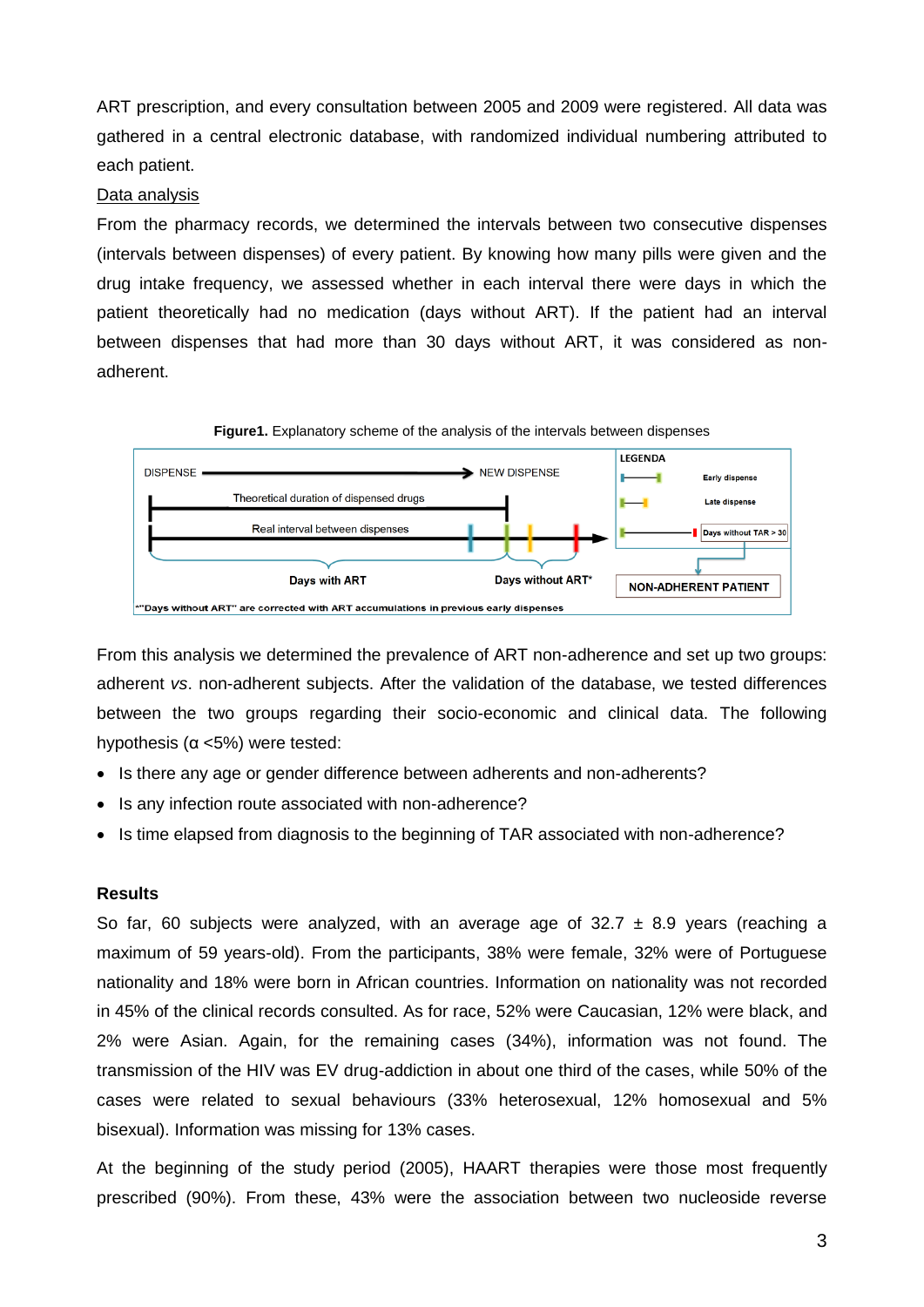ART prescription, and every consultation between 2005 and 2009 were registered. All data was gathered in a central electronic database, with randomized individual numbering attributed to each patient.

#### Data analysis

From the pharmacy records, we determined the intervals between two consecutive dispenses (intervals between dispenses) of every patient. By knowing how many pills were given and the drug intake frequency, we assessed whether in each interval there were days in which the patient theoretically had no medication (days without ART). If the patient had an interval between dispenses that had more than 30 days without ART, it was considered as nonadherent.



From this analysis we determined the prevalence of ART non-adherence and set up two groups: adherent *vs*. non-adherent subjects. After the validation of the database, we tested differences between the two groups regarding their socio-economic and clinical data. The following hypothesis (α <5%) were tested:

- Is there any age or gender difference between adherents and non-adherents?
- Is any infection route associated with non-adherence?
- Is time elapsed from diagnosis to the beginning of TAR associated with non-adherence?

#### **Results**

So far, 60 subjects were analyzed, with an average age of  $32.7 \pm 8.9$  years (reaching a maximum of 59 years-old). From the participants, 38% were female, 32% were of Portuguese nationality and 18% were born in African countries. Information on nationality was not recorded in 45% of the clinical records consulted. As for race, 52% were Caucasian, 12% were black, and 2% were Asian. Again, for the remaining cases (34%), information was not found. The transmission of the HIV was EV drug-addiction in about one third of the cases, while 50% of the cases were related to sexual behaviours (33% heterosexual, 12% homosexual and 5% bisexual). Information was missing for 13% cases.

At the beginning of the study period (2005), HAART therapies were those most frequently prescribed (90%). From these, 43% were the association between two nucleoside reverse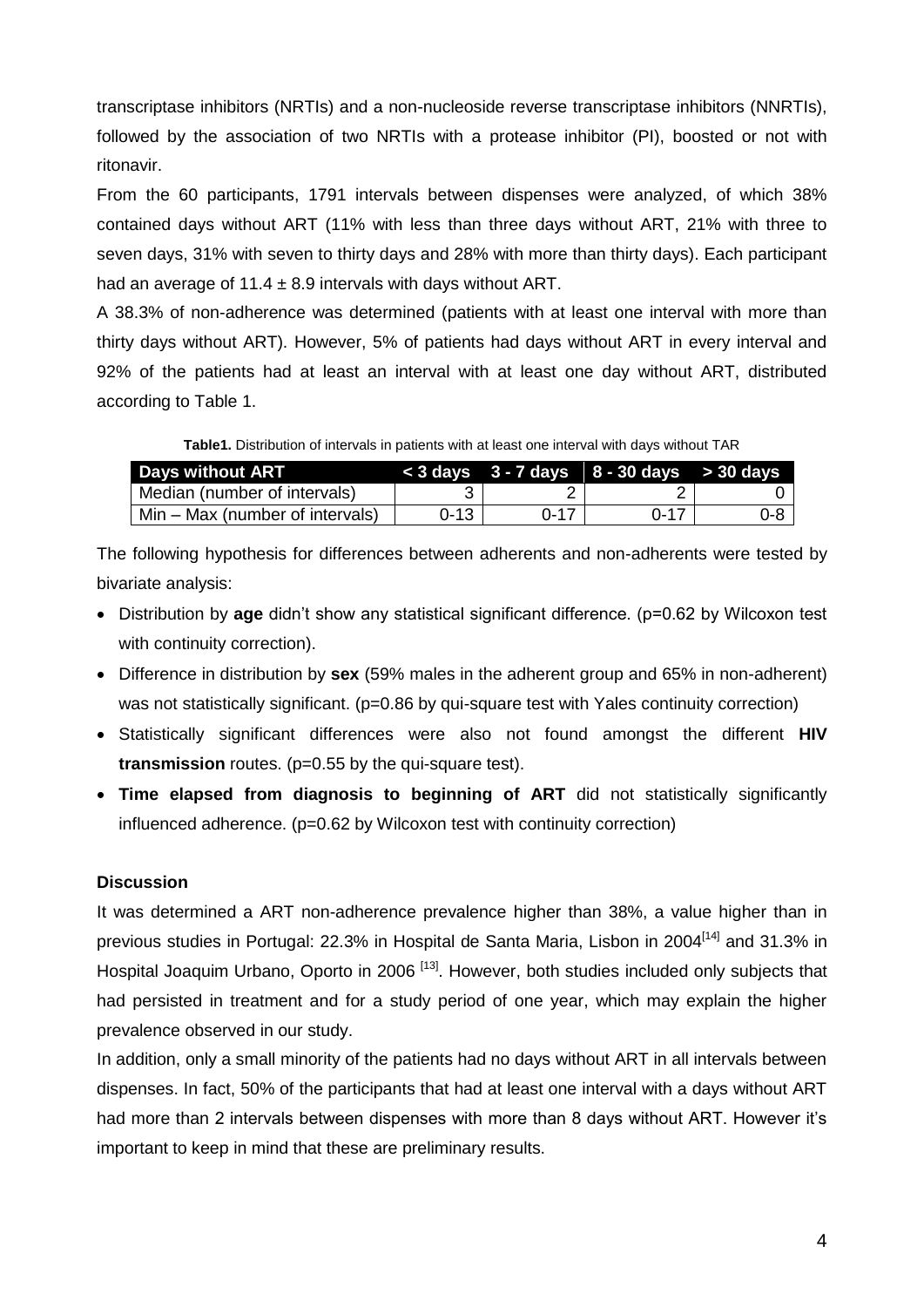transcriptase inhibitors (NRTIs) and a non-nucleoside reverse transcriptase inhibitors (NNRTIs), followed by the association of two NRTIs with a protease inhibitor (PI), boosted or not with ritonavir.

From the 60 participants, 1791 intervals between dispenses were analyzed, of which 38% contained days without ART (11% with less than three days without ART, 21% with three to seven days, 31% with seven to thirty days and 28% with more than thirty days). Each participant had an average of  $11.4 \pm 8.9$  intervals with days without ART.

A 38.3% of non-adherence was determined (patients with at least one interval with more than thirty days without ART). However, 5% of patients had days without ART in every interval and 92% of the patients had at least an interval with at least one day without ART, distributed according to Table 1.

**Table1.** Distribution of intervals in patients with at least one interval with days without TAR

| <b>Days without ART</b>         |          |      | $<$ 3 days $3$ - 7 days $8$ - 30 days $>$ 30 days |     |
|---------------------------------|----------|------|---------------------------------------------------|-----|
| Median (number of intervals)    |          |      |                                                   |     |
| Min – Max (number of intervals) | $0 - 13$ | ∩-17 | በ-17                                              | 0-8 |

The following hypothesis for differences between adherents and non-adherents were tested by bivariate analysis:

- Distribution by **age** didn't show any statistical significant difference. (p=0.62 by Wilcoxon test with continuity correction).
- Difference in distribution by **sex** (59% males in the adherent group and 65% in non-adherent) was not statistically significant. (p=0.86 by qui-square test with Yales continuity correction)
- Statistically significant differences were also not found amongst the different **HIV transmission** routes. (p=0.55 by the qui-square test).
- **Time elapsed from diagnosis to beginning of ART** did not statistically significantly influenced adherence. (p=0.62 by Wilcoxon test with continuity correction)

## **Discussion**

It was determined a ART non-adherence prevalence higher than 38%, a value higher than in previous studies in Portugal: 22.3% in Hospital de Santa Maria, Lisbon in 2004<sup>[14]</sup> and 31.3% in Hospital Joaquim Urbano, Oporto in 2006<sup>[13]</sup>. However, both studies included only subjects that had persisted in treatment and for a study period of one year, which may explain the higher prevalence observed in our study.

In addition, only a small minority of the patients had no days without ART in all intervals between dispenses. In fact, 50% of the participants that had at least one interval with a days without ART had more than 2 intervals between dispenses with more than 8 days without ART. However it's important to keep in mind that these are preliminary results.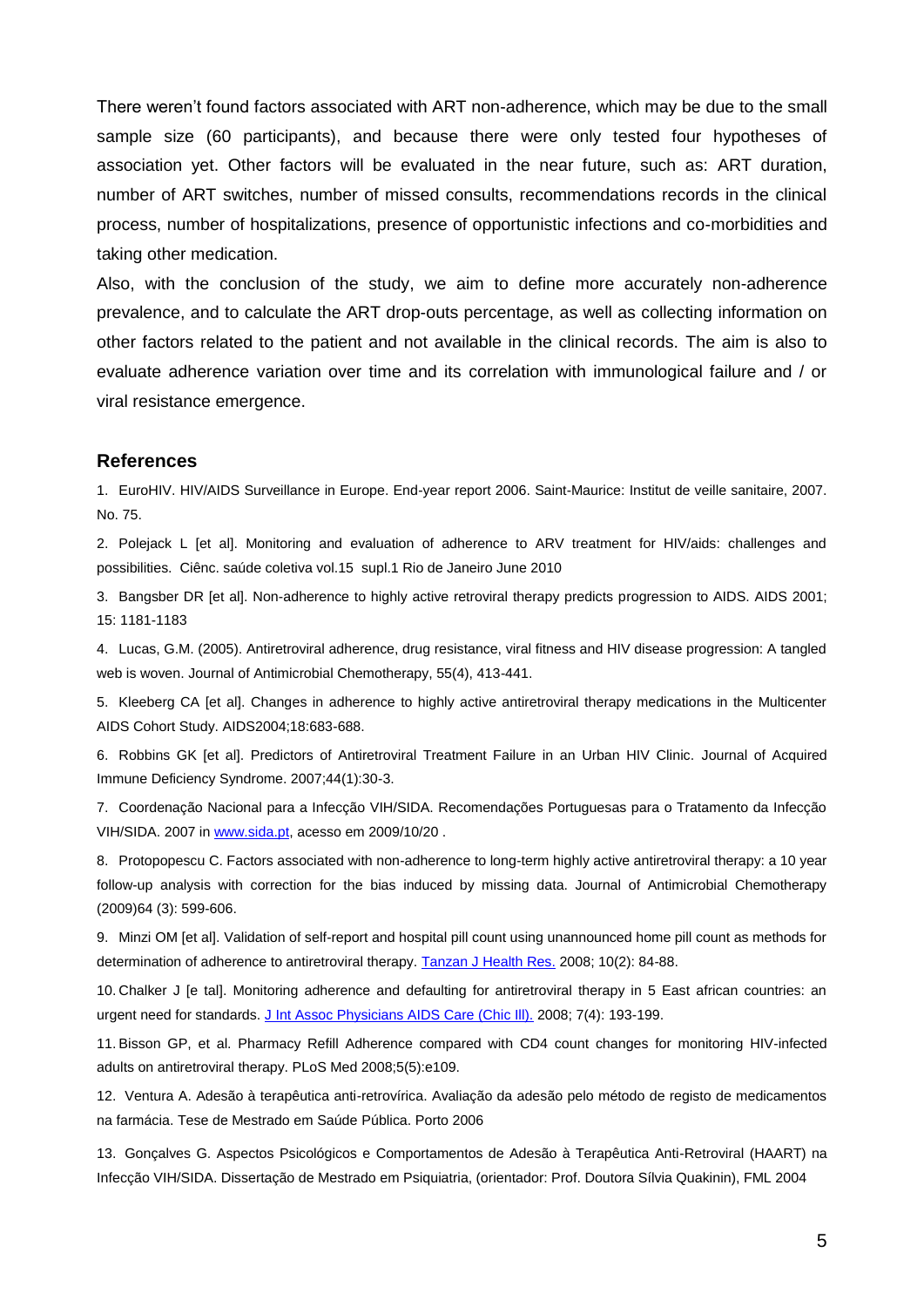There weren't found factors associated with ART non-adherence, which may be due to the small sample size (60 participants), and because there were only tested four hypotheses of association yet. Other factors will be evaluated in the near future, such as: ART duration, number of ART switches, number of missed consults, recommendations records in the clinical process, number of hospitalizations, presence of opportunistic infections and co-morbidities and taking other medication.

Also, with the conclusion of the study, we aim to define more accurately non-adherence prevalence, and to calculate the ART drop-outs percentage, as well as collecting information on other factors related to the patient and not available in the clinical records. The aim is also to evaluate adherence variation over time and its correlation with immunological failure and / or viral resistance emergence.

#### **References**

1. EuroHIV. HIV/AIDS Surveillance in Europe. End-year report 2006. Saint-Maurice: Institut de veille sanitaire, 2007. No. 75.

2. Polejack L [et al]. Monitoring and evaluation of adherence to ARV treatment for HIV/aids: challenges and possibilities. Ciênc. saúde coletiva vol.15 supl.1 Rio de Janeiro June 2010

3. Bangsber DR [et al]. Non-adherence to highly active retroviral therapy predicts progression to AIDS. AIDS 2001; 15: 1181-1183

4. Lucas, G.M. (2005). Antiretroviral adherence, drug resistance, viral fitness and HIV disease progression: A tangled web is woven. Journal of Antimicrobial Chemotherapy, 55(4), 413-441.

5. Kleeberg CA [et al]. Changes in adherence to highly active antiretroviral therapy medications in the Multicenter AIDS Cohort Study. AIDS2004;18:683-688.

6. Robbins GK [et al]. Predictors of Antiretroviral Treatment Failure in an Urban HIV Clinic. Journal of Acquired Immune Deficiency Syndrome. 2007;44(1):30-3.

7. Coordenação Nacional para a Infecção VIH/SIDA. Recomendações Portuguesas para o Tratamento da Infecção VIH/SIDA. 2007 in [www.sida.pt,](http://www.sida.pt/) acesso em 2009/10/20.

8. [Protopopescu](http://jac.oxfordjournals.org/search?author1=Camelia+Protopopescu&sortspec=date&submit=Submit) C. Factors associated with non-adherence to long-term highly active antiretroviral therapy: a 10 year follow-up analysis with correction for the bias induced by missing data. Journal of Antimicrobial Chemotherapy (2009)64 (3): 599-606.

9. Minzi OM [et al]. Validation of self-report and hospital pill count using unannounced home pill count as methods for determination of adherence to antiretroviral therapy[. Tanzan J Health Res.](javascript:AL_get(this,%20) 2008; 10(2): 84-88.

10. Chalker J [e tal]. Monitoring adherence and defaulting for antiretroviral therapy in 5 East african countries: an urgent need for standards[. J Int Assoc Physicians AIDS Care \(Chic Ill\).](javascript:AL_get(this,%20) 2008; 7(4): 193-199.

11. Bisson GP, et al. Pharmacy Refill Adherence compared with CD4 count changes for monitoring HIV-infected adults on antiretroviral therapy. PLoS Med 2008;5(5):e109.

12. Ventura A. Adesão à terapêutica anti-retrovírica. Avaliação da adesão pelo método de registo de medicamentos na farmácia. Tese de Mestrado em Saúde Pública. Porto 2006

13. Gonçalves G. Aspectos Psicológicos e Comportamentos de Adesão à Terapêutica Anti-Retroviral (HAART) na Infecção VIH/SIDA. Dissertação de Mestrado em Psiquiatria, (orientador: Prof. Doutora Sílvia Quakinin), FML 2004